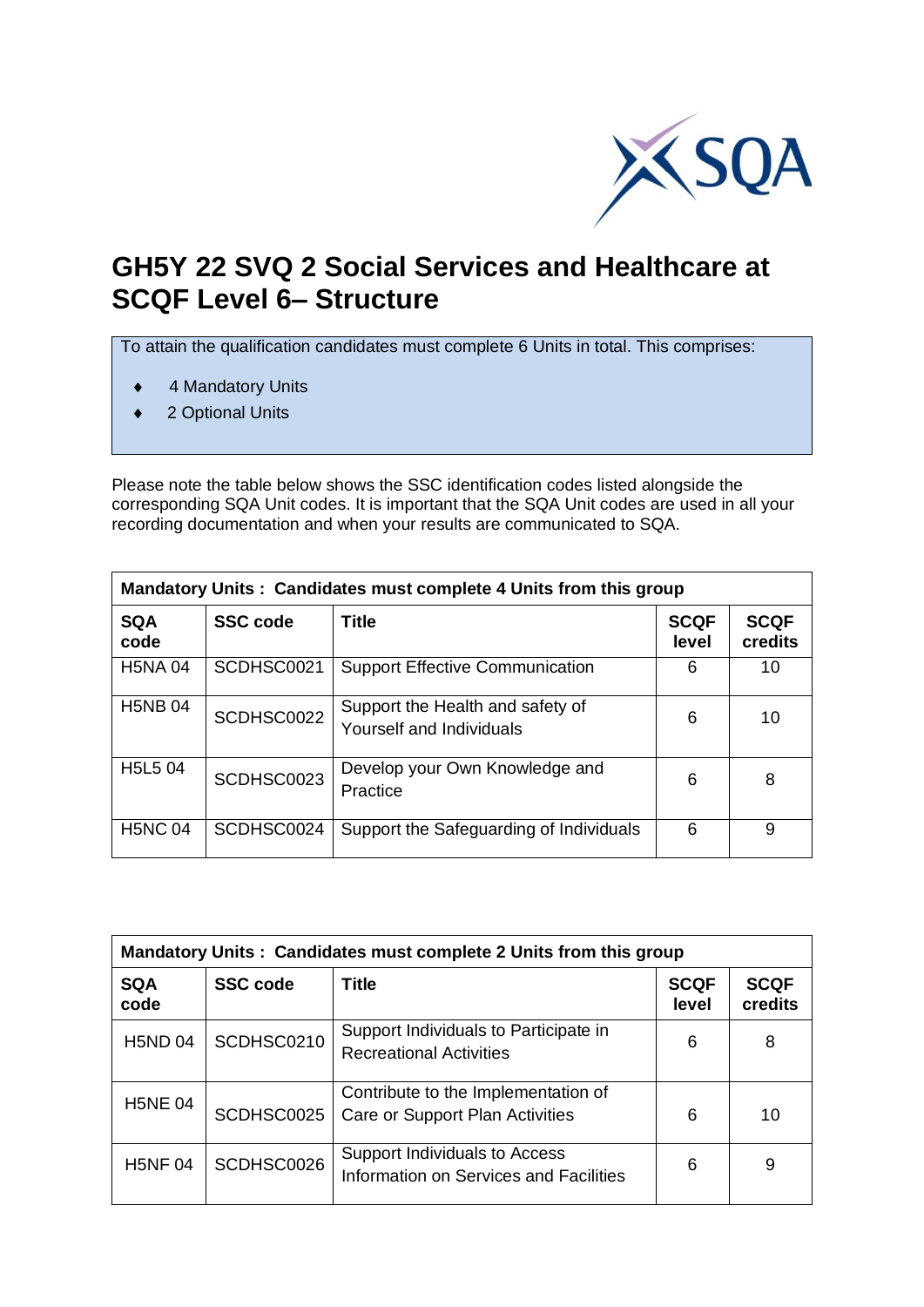

## **GH5Y 22 SVQ 2 Social Services and Healthcare at SCQF Level 6– Structure**

To attain the qualification candidates must complete 6 Units in total. This comprises:

- ◆ 4 Mandatory Units
- ◆ 2 Optional Units

Please note the table below shows the SSC identification codes listed alongside the corresponding SQA Unit codes. It is important that the SQA Unit codes are used in all your recording documentation and when your results are communicated to SQA.

| Mandatory Units: Candidates must complete 4 Units from this group |                 |                                                              |                      |                        |
|-------------------------------------------------------------------|-----------------|--------------------------------------------------------------|----------------------|------------------------|
| <b>SQA</b><br>code                                                | <b>SSC</b> code | Title                                                        | <b>SCQF</b><br>level | <b>SCQF</b><br>credits |
| <b>H5NA04</b>                                                     | SCDHSC0021      | <b>Support Effective Communication</b>                       | 6                    | 10                     |
| <b>H5NB04</b>                                                     | SCDHSC0022      | Support the Health and safety of<br>Yourself and Individuals | 6                    | 10                     |
| H5L5 04                                                           | SCDHSC0023      | Develop your Own Knowledge and<br>Practice                   | 6                    | 8                      |
| <b>H5NC 04</b>                                                    | SCDHSC0024      | Support the Safeguarding of Individuals                      | 6                    | 9                      |

| Mandatory Units: Candidates must complete 2 Units from this group |                 |                                                                         |                      |                        |
|-------------------------------------------------------------------|-----------------|-------------------------------------------------------------------------|----------------------|------------------------|
| <b>SQA</b><br>code                                                | <b>SSC code</b> | <b>Title</b>                                                            | <b>SCQF</b><br>level | <b>SCQF</b><br>credits |
| <b>H5ND 04</b>                                                    | SCDHSC0210      | Support Individuals to Participate in<br><b>Recreational Activities</b> | 6                    | 8                      |
| <b>H5NE 04</b>                                                    | SCDHSC0025      | Contribute to the Implementation of<br>Care or Support Plan Activities  | 6                    | 10                     |
| <b>H5NF04</b>                                                     | SCDHSC0026      | Support Individuals to Access<br>Information on Services and Facilities | 6                    | 9                      |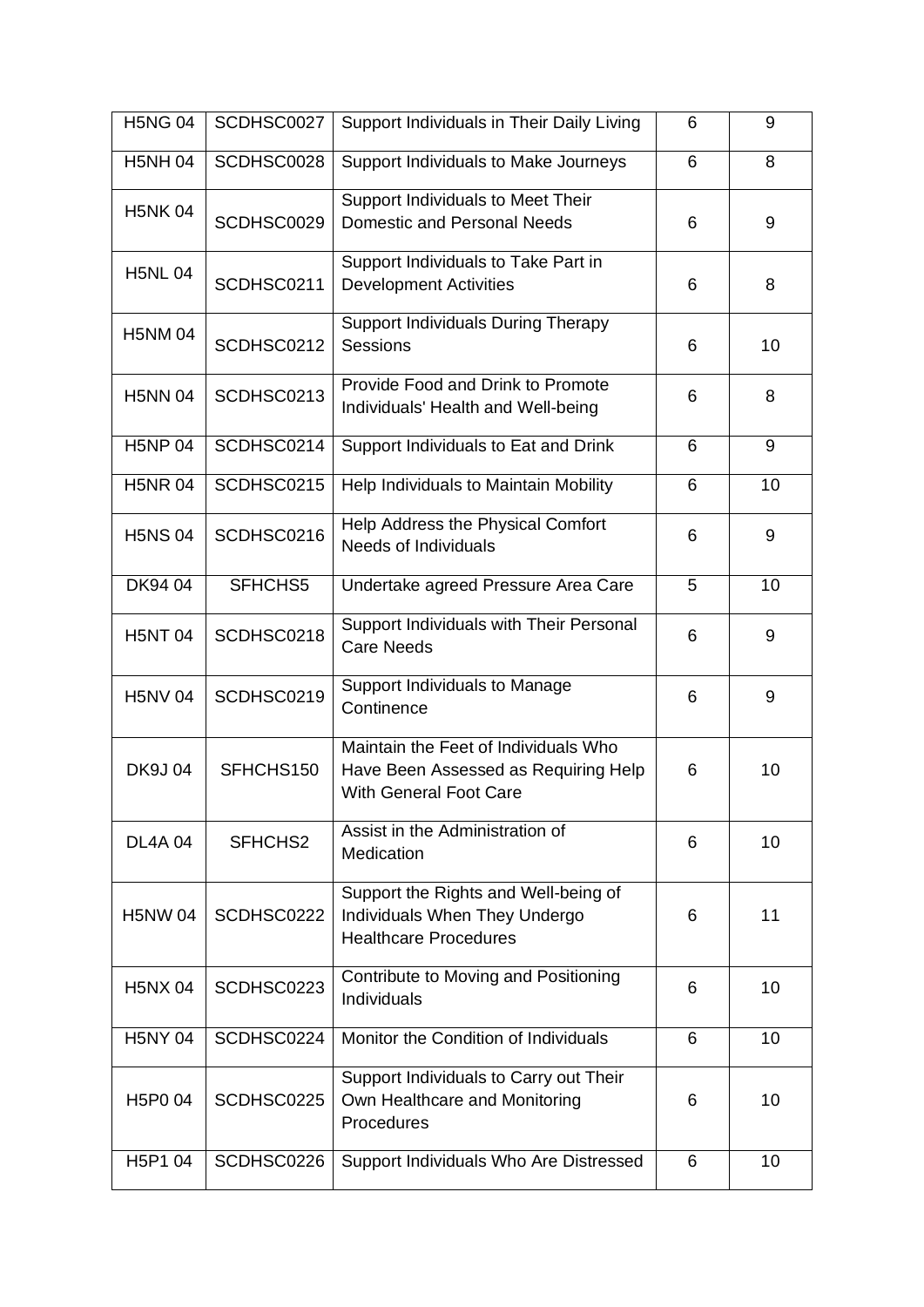| <b>H5NG 04</b> | SCDHSC0027 | Support Individuals in Their Daily Living                                                                     | 6 | 9  |
|----------------|------------|---------------------------------------------------------------------------------------------------------------|---|----|
| <b>H5NH04</b>  | SCDHSC0028 | Support Individuals to Make Journeys                                                                          | 6 | 8  |
| <b>H5NK04</b>  | SCDHSC0029 | Support Individuals to Meet Their<br>Domestic and Personal Needs                                              | 6 | 9  |
| <b>H5NL 04</b> | SCDHSC0211 | Support Individuals to Take Part in<br><b>Development Activities</b>                                          | 6 | 8  |
| <b>H5NM04</b>  | SCDHSC0212 | Support Individuals During Therapy<br><b>Sessions</b>                                                         | 6 | 10 |
| <b>H5NN 04</b> | SCDHSC0213 | Provide Food and Drink to Promote<br>Individuals' Health and Well-being                                       | 6 | 8  |
| <b>H5NP 04</b> | SCDHSC0214 | Support Individuals to Eat and Drink                                                                          | 6 | 9  |
| <b>H5NR04</b>  | SCDHSC0215 | Help Individuals to Maintain Mobility                                                                         | 6 | 10 |
| <b>H5NS 04</b> | SCDHSC0216 | Help Address the Physical Comfort<br><b>Needs of Individuals</b>                                              | 6 | 9  |
| DK94 04        | SFHCHS5    | Undertake agreed Pressure Area Care                                                                           | 5 | 10 |
| <b>H5NT04</b>  | SCDHSC0218 | Support Individuals with Their Personal<br><b>Care Needs</b>                                                  | 6 | 9  |
| <b>H5NV 04</b> | SCDHSC0219 | Support Individuals to Manage<br>Continence                                                                   | 6 | 9  |
| <b>DK9J04</b>  | SFHCHS150  | Maintain the Feet of Individuals Who<br>Have Been Assessed as Requiring Help<br><b>With General Foot Care</b> | 6 | 10 |
| <b>DL4A04</b>  | SFHCHS2    | Assist in the Administration of<br>Medication                                                                 | 6 | 10 |
| <b>H5NW04</b>  | SCDHSC0222 | Support the Rights and Well-being of<br>Individuals When They Undergo<br><b>Healthcare Procedures</b>         | 6 | 11 |
| <b>H5NX 04</b> | SCDHSC0223 | Contribute to Moving and Positioning<br>Individuals                                                           | 6 | 10 |
| <b>H5NY 04</b> | SCDHSC0224 | Monitor the Condition of Individuals                                                                          | 6 | 10 |
| H5P0 04        | SCDHSC0225 | Support Individuals to Carry out Their<br>Own Healthcare and Monitoring<br>Procedures                         | 6 | 10 |
| H5P1 04        | SCDHSC0226 | Support Individuals Who Are Distressed                                                                        | 6 | 10 |